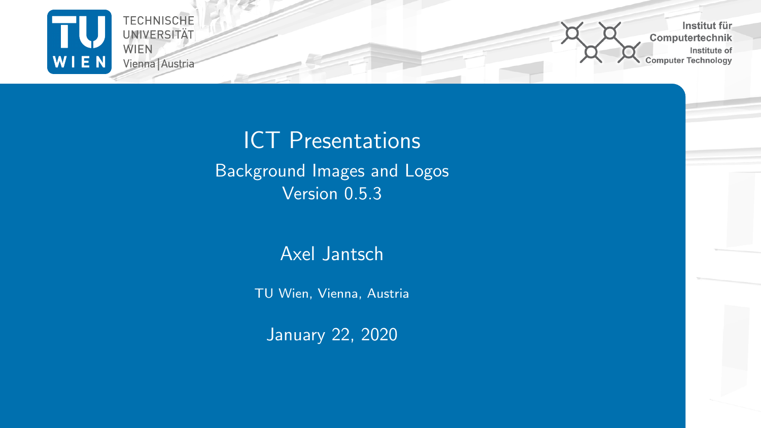

Institut für. Computertechnik Institute of Computer Technology

## ICT Presentations Background Images and Logos Version 0.5.3

#### Axel Jantsch

TU Wien, Vienna, Austria

January 22, 2020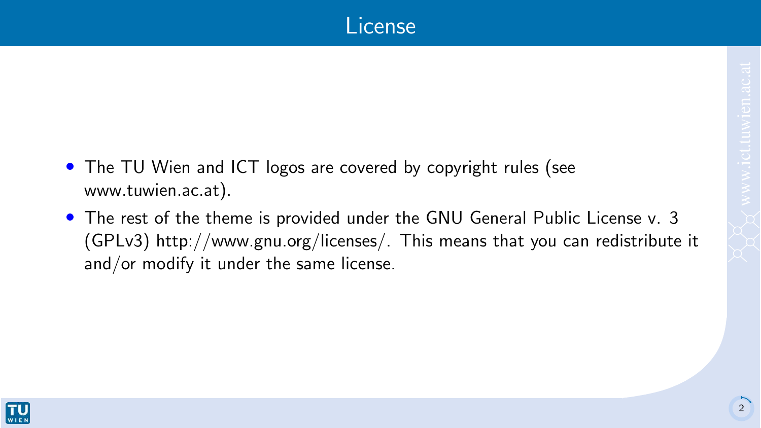- The TU Wien and ICT logos are covered by copyright rules (see [www.tuwien.ac.at\)](www.tuwien.ac.at).
- The rest of the theme is provided under the GNU General Public License v. 3 (GPLv3) [http://www.gnu.org/licenses/.](http://www.gnu.org/licenses/) This means that you can redistribute it and/or modify it under the same license.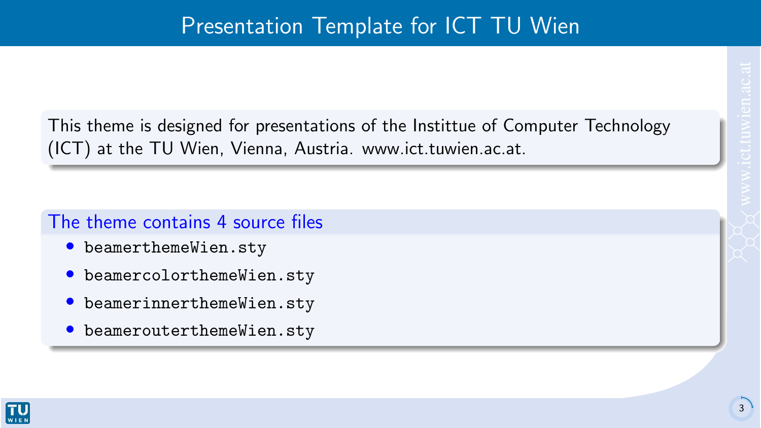This theme is designed for presentations of the Instittue of Computer Technology (ICT) at the TU Wien, Vienna, Austria. [www.ict.tuwien.ac.at.](www.ict.tuwien.ac.at)

#### The theme contains 4 source files

- beamerthemeWien.sty
- beamercolorthemeWien.sty
- beamerinnerthemeWien.sty
- beamerouterthemeWien.sty

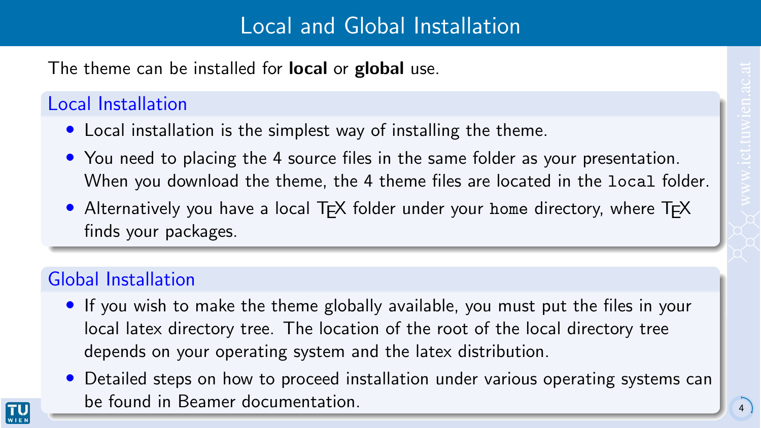The theme can be installed for **local** or **global** use.

#### Local Installation

- Local installation is the simplest way of installing the theme.
- You need to placing the 4 source files in the same folder as your presentation. When you download the theme, the 4 theme files are located in the local folder.
- Alternatively you have a local T<sub>EX</sub> folder under your home directory, where T<sub>EX</sub> finds your packages.

### Global Installation

- If you wish to make the theme globally available, you must put the files in your local latex directory tree. The location of the root of the local directory tree depends on your operating system and the latex distribution.
- Detailed steps on how to proceed installation under various operating systems can be found in Beamer documentation. <sup>4</sup>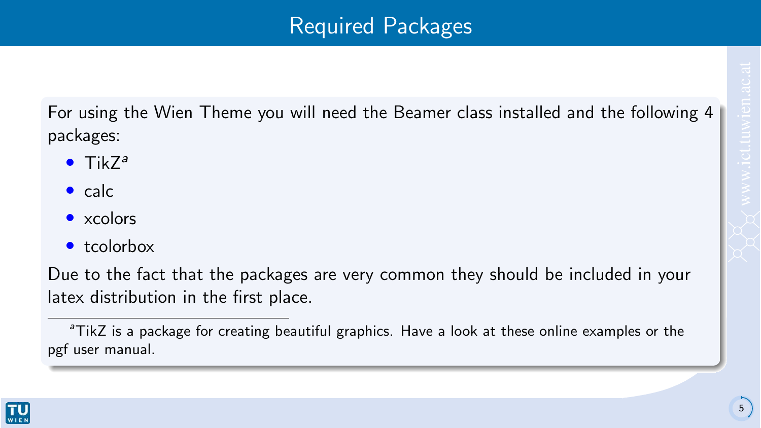For using the Wien Theme you will need the Beamer class installed and the following 4 packages:

- $\bullet$  Tik $7^a$
- $\bullet$  calc
- xcolors
- tcolorbox

Due to the fact that the packages are very common they should be included in your latex distribution in the first place.

<sup>&</sup>lt;sup>a</sup>TikZ is a package for creating beautiful graphics. Have a look at these [online examples](http://www.texample.net/tikz/examples/) or the [pgf user manual.](http://tug.ctan.org/tex-archive/graphics/pgf/base/doc/generic/pgf/pgfmanual.pdf)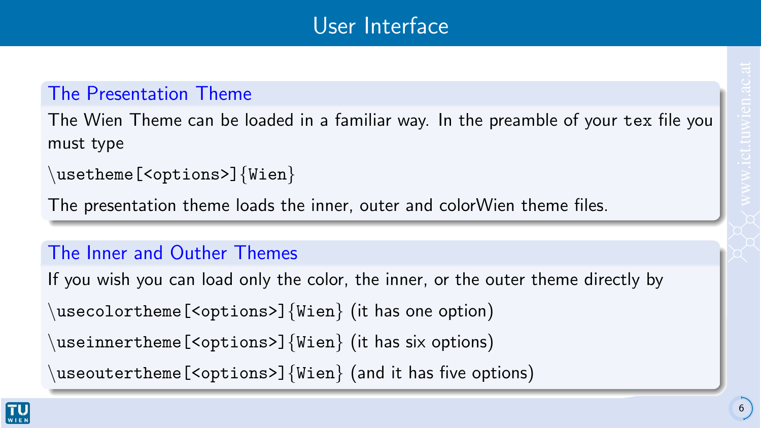#### The Presentation Theme

The Wien Theme can be loaded in a familiar way. In the preamble of your tex file you must type

```
\usetheme[<options>]{Wien}
```
The presentation theme loads the inner, outer and colorWien theme files.

#### The Inner and Outher Themes

If you wish you can load only the color, the inner, or the outer theme directly by usecolortheme[<options>] ${Wien}$  (it has one option)  $\{u$ seinnertheme[<options>] $\{Wien\}$  (it has six options)

useoutertheme[<options>] ${Wien}$  (and it has five options)

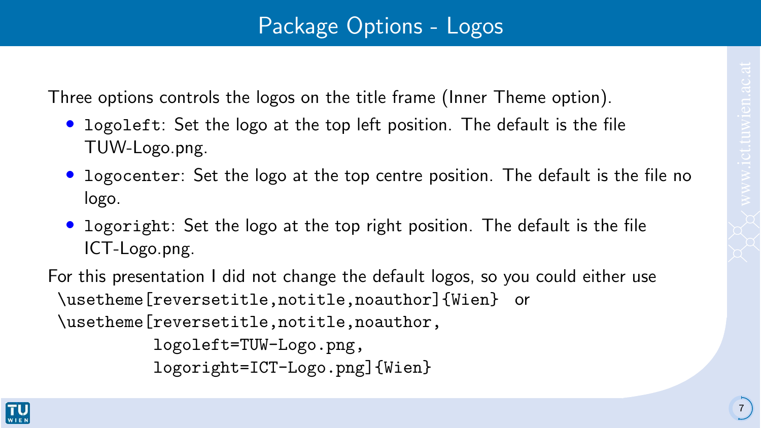Three options controls the logos on the title frame (Inner Theme option).

- logoleft: Set the logo at the top left position. The default is the file TUW-Logo.png.
- logocenter: Set the logo at the top centre position. The default is the file no logo.
- logoright: Set the logo at the top right position. The default is the file ICT-Logo.png.

For this presentation I did not change the default logos, so you could either use \usetheme[reversetitle,notitle,noauthor]{Wien} or \usetheme[reversetitle,notitle,noauthor,

```
logoleft=TUW-Logo.png,
logoright=ICT-Logo.png]{Wien}
```
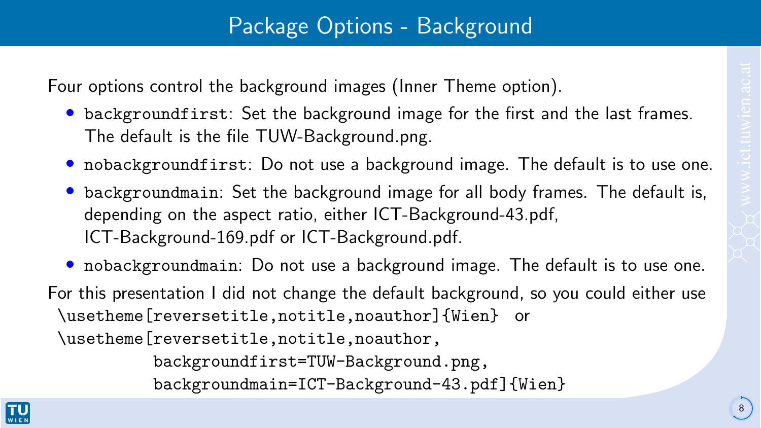## Package Options - Background

Four options control the background images (Inner Theme option).

- backgroundfirst: Set the background image for the first and the last frames. The default is the file TUW-Background.png.
- nobackgroundfirst: Do not use a background image. The default is to use one.
- backgroundmain: Set the background image for all body frames. The default is, depending on the aspect ratio, either ICT-Background-43.pdf, ICT-Background-169.pdf or ICT-Background.pdf.
- nobackgroundmain: Do not use a background image. The default is to use one.

For this presentation I did not change the default background, so you could either use \usetheme[reversetitle,notitle,noauthor]{Wien} or \usetheme [reversetitle,notitle,noauthor,

backgroundfirst=TUW-Background.png,

backgroundmain=ICT-Background-43.pdf]{Wien}

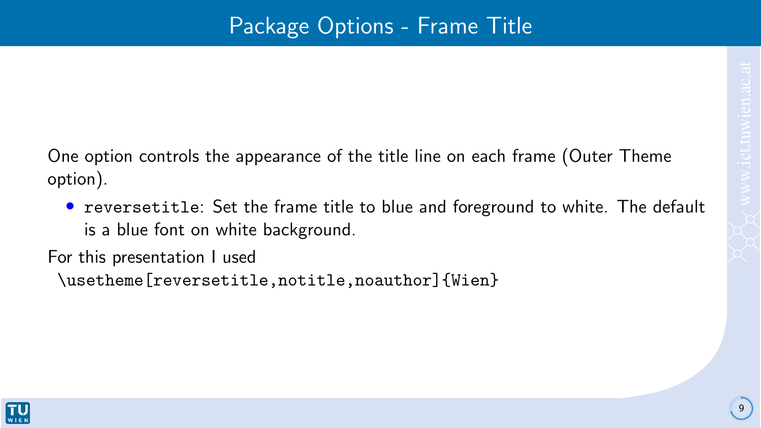One option controls the appearance of the title line on each frame (Outer Theme option).

• reversetitle: Set the frame title to blue and foreground to white. The default is a blue font on white background.

For this presentation I used

\usetheme[reversetitle,notitle,noauthor]{Wien}

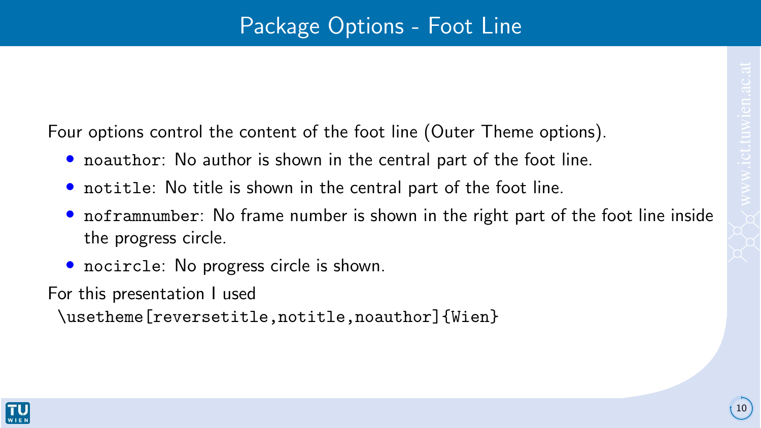10

Four options control the content of the foot line (Outer Theme options).

- noauthor: No author is shown in the central part of the foot line.
- notitle: No title is shown in the central part of the foot line.
- noframnumber: No frame number is shown in the right part of the foot line inside the progress circle.
- nocircle: No progress circle is shown.

For this presentation I used

\usetheme[reversetitle,notitle,noauthor]{Wien}

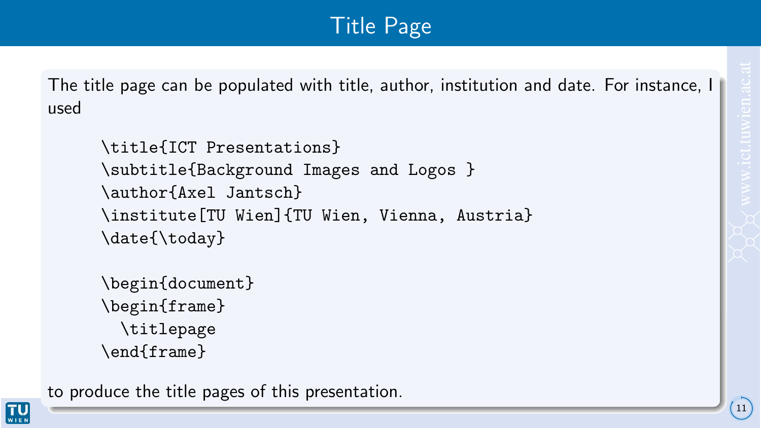The title page can be populated with title, author, institution and date. For instance, I used

```
\title{ICT Presentations}
\subtitle{Background Images and Logos }
\author{Axel Jantsch}
\institute[TU Wien]{TU Wien, Vienna, Austria}
\date{\today}
```

```
\begin{document}
\begin{frame}
 \titlepage
\end{frame}
```
to produce the title pages of this presentation.

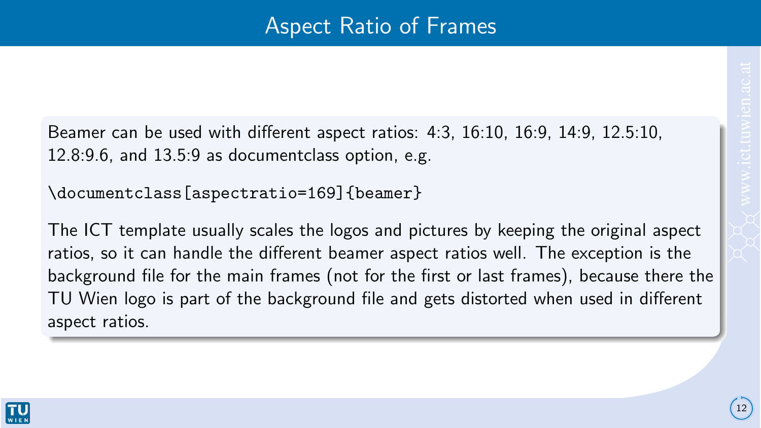Beamer can be used with different aspect ratios: 4:3, 16:10, 16:9, 14:9, 12.5:10, 12.8:9.6, and 13.5:9 as documentclass option, e.g.

\documentclass[aspectratio=169]{beamer}

The ICT template usually scales the logos and pictures by keeping the original aspect ratios, so it can handle the different beamer aspect ratios well. The exception is the background file for the main frames (not for the first or last frames), because there the TU Wien logo is part of the background file and gets distorted when used in different aspect ratios.

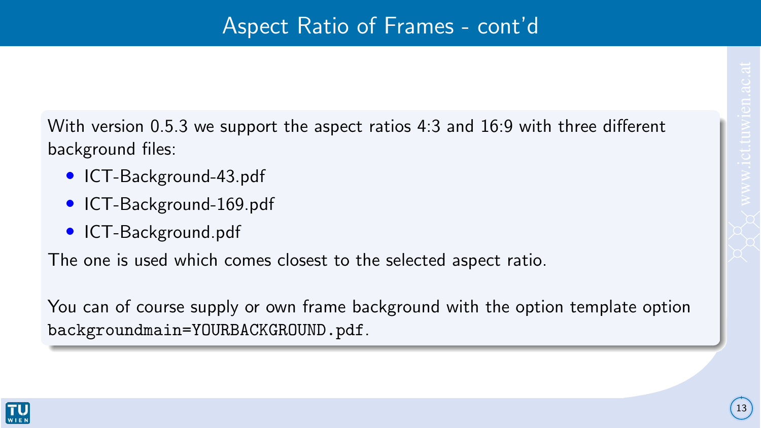With version 0.5.3 we support the aspect ratios 4:3 and 16:9 with three different background files:

- ICT-Background-43.pdf
- ICT-Background-169.pdf
- ICT-Background.pdf

The one is used which comes closest to the selected aspect ratio.

You can of course supply or own frame background with the option template option backgroundmain=YOURBACKGROUND.pdf.

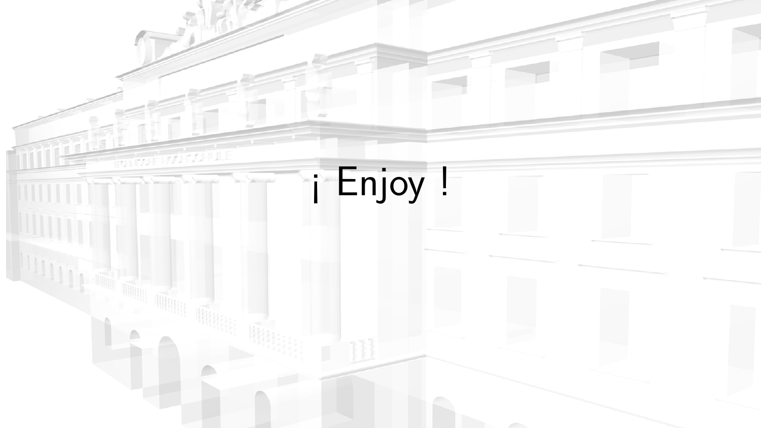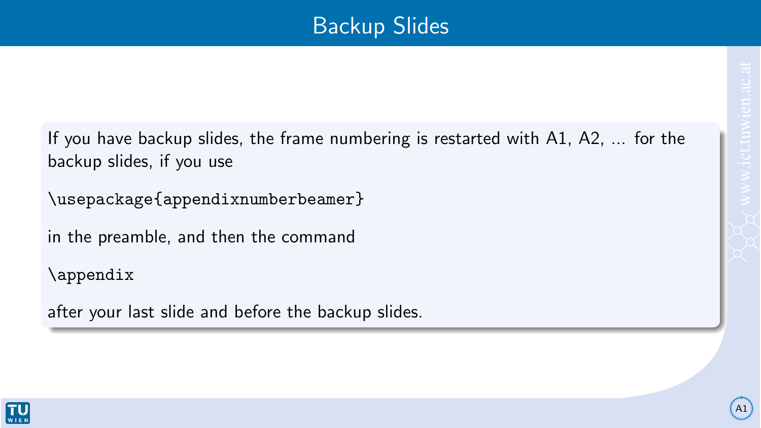## Backup Slides

A1

If you have backup slides, the frame numbering is restarted with A1, A2, ... for the backup slides, if you use

\usepackage{appendixnumberbeamer}

in the preamble, and then the command

\appendix

after your last slide and before the backup slides.